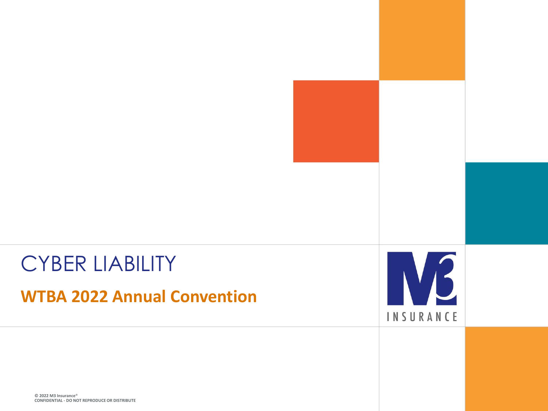#### CYBER LIABILITY

**WTBA 2022 Annual Convention**



**© 2022 M3 Insurance**® **CONFIDENTIAL - DO NOT REPRODUCE OR DISTRIBUTE**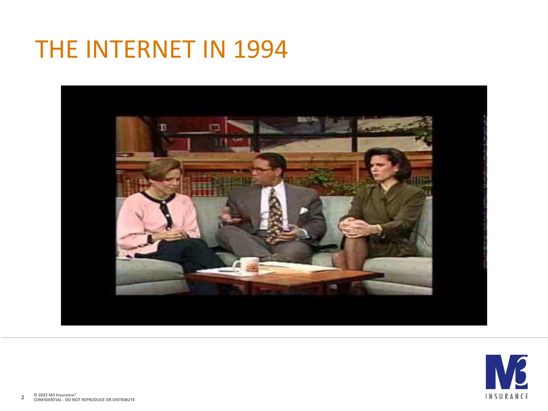#### THE INTERNET IN 1994



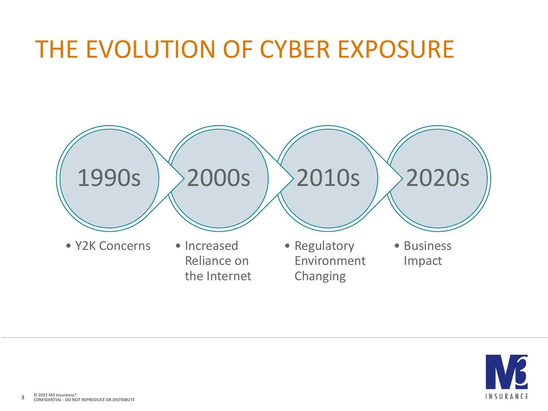#### THE EVOLUTION OF CYBER EXPOSURE



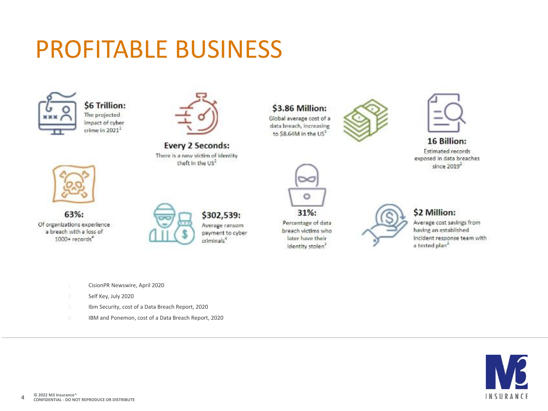### PROFITABLE BUSINESS



\$6 Trillion: The projected impact of cyber crime in 2021<sup>1</sup>



**Every 2 Seconds:** There is a new victim of identity theft in the US<sup>2</sup>

#### \$3.86 Million: Global average cost of a

data breach, increasing to \$8.64M in the US<sup>3</sup>





16 Billion:

Estimated records exposed in data breaches since 2019<sup>2</sup>



63%: Of organizations experience a breach with a loss of 1000+ records<sup>4</sup>



\$302,539: Average ransom payment to cyber criminals<sup>4</sup>



Percentage of data breach victims who later have their Identity stolen<sup>2</sup>



#### \$2 Million:

Average cost savings from having an established incident response team with a tested plan<sup>3</sup>

- 1. CisionPR Newswire, April 2020
- 2. Self Key, July 2020
- 3. Ibm Security, cost of a Data Breach Report, 2020
- 4. IBM and Ponemon, cost of a Data Breach Report, 2020

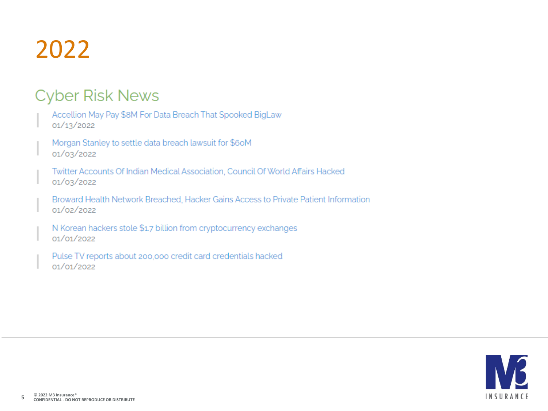## 2022

#### **Cyber Risk News**

Accellion May Pay \$8M For Data Breach That Spooked BigLaw 01/13/2022

Morgan Stanley to settle data breach lawsuit for \$60M 01/03/2022

Twitter Accounts Of Indian Medical Association, Council Of World Affairs Hacked 01/03/2022

Broward Health Network Breached, Hacker Gains Access to Private Patient Information 01/02/2022

N Korean hackers stole \$1.7 billion from cryptocurrency exchanges 01/01/2022

Pulse TV reports about 200,000 credit card credentials hacked 01/01/2022

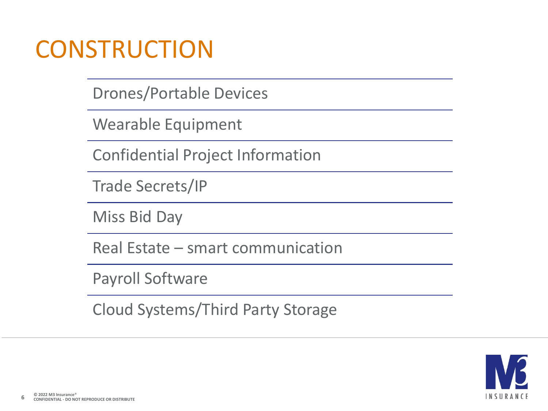#### **CONSTRUCTION**

Drones/Portable Devices

Wearable Equipment

Confidential Project Information

Trade Secrets/IP

Miss Bid Day

Real Estate – smart communication

Payroll Software

Cloud Systems/Third Party Storage

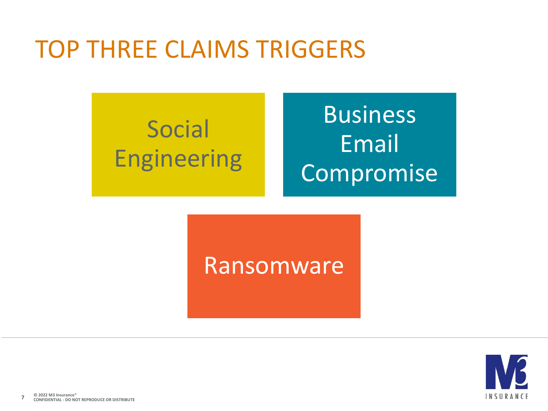#### TOP THREE CLAIMS TRIGGERS

# Social Engineering

# Business Email Compromise

#### Ransomware

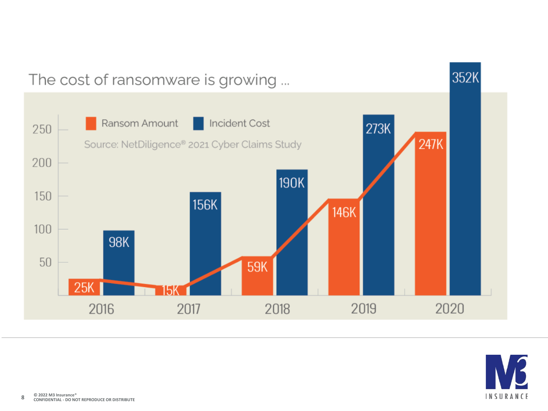

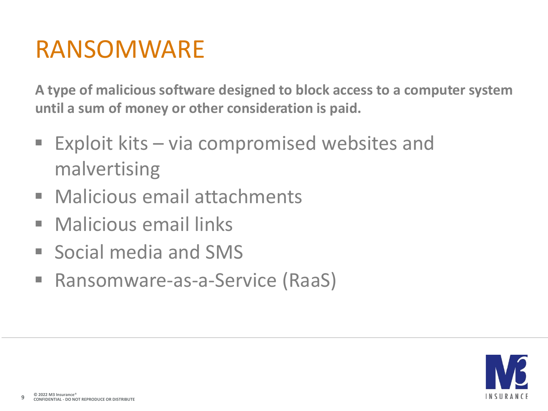#### RANSOMWARE

**A type of malicious software designed to block access to a computer system until a sum of money or other consideration is paid.**

- $\blacksquare$  Exploit kits via compromised websites and malvertising
- Malicious email attachments
- Malicious email links
- Social media and SMS
- Ransomware-as-a-Service (RaaS)

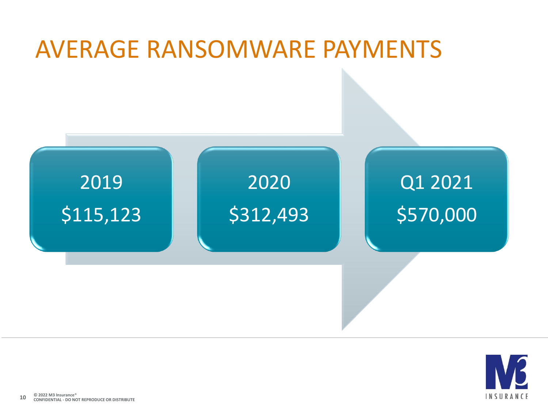# AVERAGE RANSOMWARE PAYMENTS



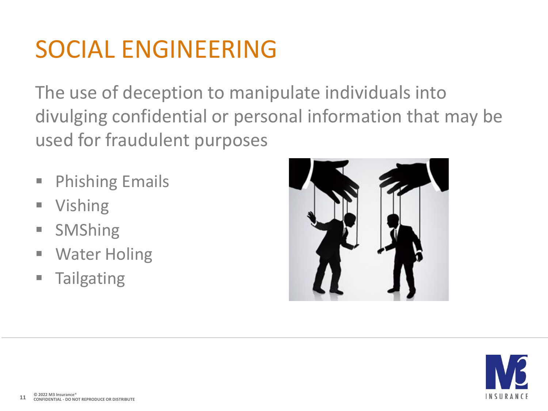## SOCIAL ENGINEERING

The use of deception to manipulate individuals into divulging confidential or personal information that may be used for fraudulent purposes

- **Phishing Emails**
- **Vishing**
- SMShing
- Water Holing
- Tailgating



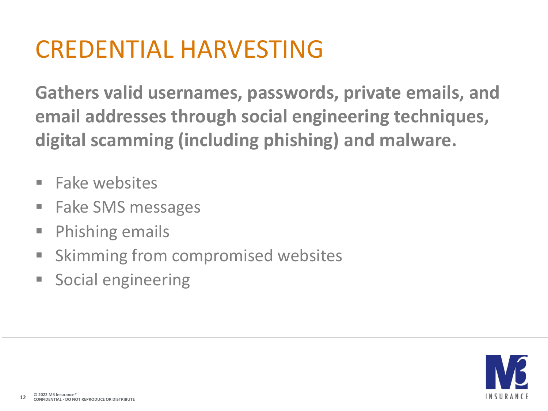#### CREDENTIAL HARVESTING

**Gathers valid usernames, passwords, private emails, and email addresses through social engineering techniques, digital scamming (including phishing) and malware.**

- Fake websites
- **Fake SMS messages**
- Phishing emails
- Skimming from compromised websites
- **Social engineering**

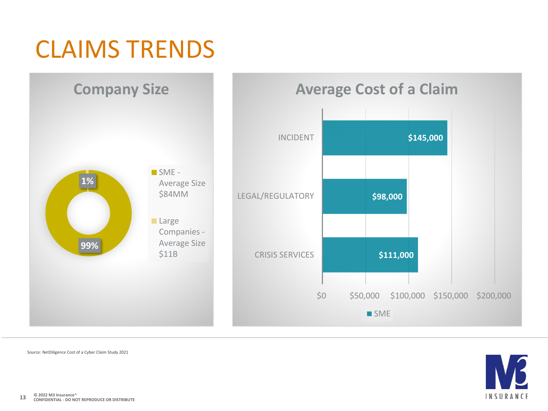

Source: NetDiligence Cost of a Cyber Claim Study 2021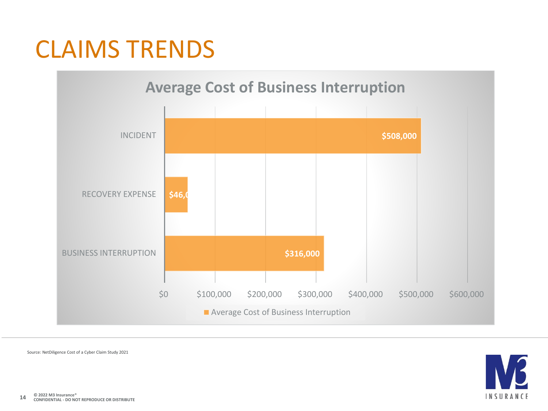## CLAIMS TRENDS



Source: NetDiligence Cost of a Cyber Claim Study 2021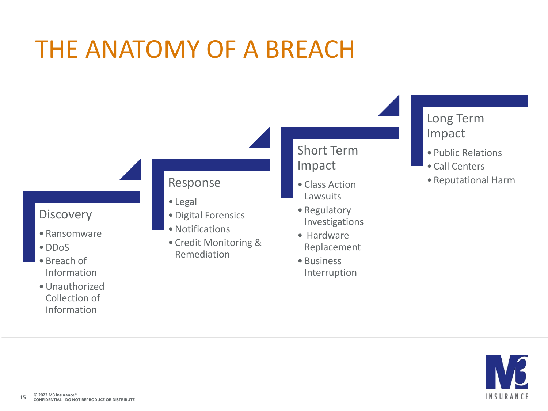### THE ANATOMY OF A BREACH



- Ransomware
- •DDoS
- Breach of Information
- •Unauthorized Collection of Information

#### Response

- Legal
- •Digital Forensics
- Notifications
- Credit Monitoring & Remediation

#### Short Term Impact

- Class Action Lawsuits
- Regulatory Investigations
- Hardware Replacement
- Business Interruption

#### Long Term Impact

- Public Relations
- Call Centers
- Reputational Harm

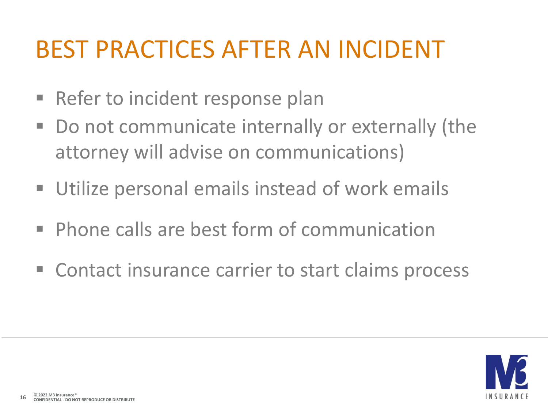## BEST PRACTICES AFTER AN INCIDENT

- Refer to incident response plan
- Do not communicate internally or externally (the attorney will advise on communications)
- **Utilize personal emails instead of work emails**
- **Phone calls are best form of communication**
- Contact insurance carrier to start claims process

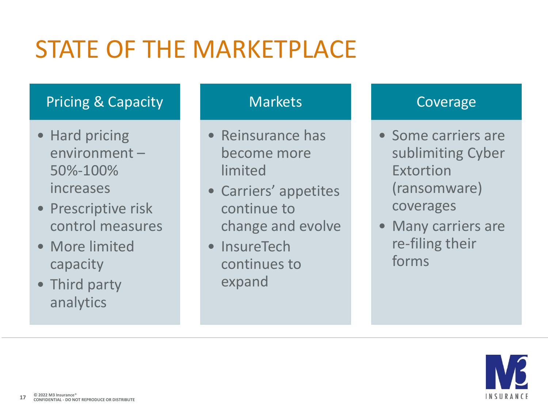# STATE OF THE MARKETPLACE

#### Pricing & Capacity

- Hard pricing environment – 50%-100% increases
- Prescriptive risk control measures
- More limited capacity
- Third party analytics

#### **Markets**

- Reinsurance has become more limited
- Carriers' appetites continue to change and evolve
- InsureTech continues to expand

#### Coverage

- Some carriers are sublimiting Cyber Extortion (ransomware) coverages
- Many carriers are re-filing their forms

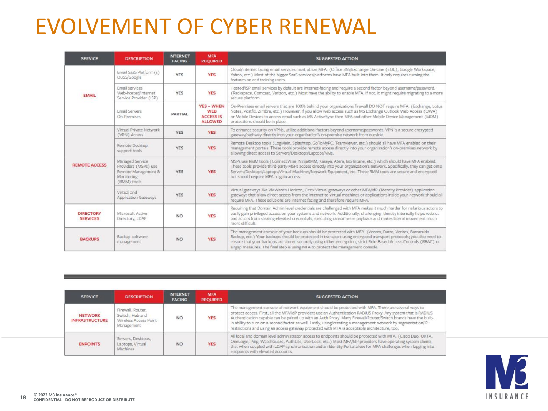#### EVOLVEMENT OF CYBER RENEWAL

| <b>SERVICE</b>                      | <b>DESCRIPTION</b>                                                                          | <b>INTERNET</b><br><b>FACING</b> | <b>MFA</b><br><b>REQUIRED</b>                                         | <b>SUGGESTED ACTION</b>                                                                                                                                                                                                                                                                                                                                                                                                             |  |
|-------------------------------------|---------------------------------------------------------------------------------------------|----------------------------------|-----------------------------------------------------------------------|-------------------------------------------------------------------------------------------------------------------------------------------------------------------------------------------------------------------------------------------------------------------------------------------------------------------------------------------------------------------------------------------------------------------------------------|--|
| <b>EMAIL</b>                        | Email SaaS Platform (s)<br>O365/Google                                                      | YES                              | <b>YES</b>                                                            | Cloud/Internet facing email services must utilize MFA. (Office 365/Exchange On-Line (EOL), Google Workspace,<br>Yahoo, etc.) Most of the bigger SaaS services/platforms have MFA built into them. It only requires turning the<br>features on and training users.                                                                                                                                                                   |  |
|                                     | Email services<br>Web-hosted/Internet<br>Service Provider (ISP)                             | <b>YES</b>                       | <b>YES</b>                                                            | Hosted/ISP email services by default are internet-facing and require a second factor beyond username/password.<br>(Rackspace, Comcast, Verizon, etc.) Most have the ability to enable MFA. If not, it might require migrating to a more<br>secure platform.                                                                                                                                                                         |  |
|                                     | Email Servers<br>On-Premises                                                                | PARTIAL                          | <b>YES - WHEN</b><br><b>WEB</b><br><b>ACCESS IS</b><br><b>ALLOWED</b> | On-Premises email servers that are 100% behind your organizations firewall DO NOT require MFA. (Exchange, Lotus<br>Notes, Postfix, Zimbra, etc.) However, if you allow web access such as MS Exchange Outlook Web Access (OWA)<br>or Mobile Devices to access email such as MS ActiveSync then MFA and other Mobile Device Management (MDM)<br>protections should be in place.                                                      |  |
| <b>REMOTE ACCESS</b>                | Virtual Private Network<br>(VPN) Access                                                     | <b>YES</b>                       | <b>YES</b>                                                            | To enhance security on VPNs, utilize additional factors beyond username/passwords. VPN is a secure encrypted<br>gateway/pathway directly into your organization's on-premise network from outside.                                                                                                                                                                                                                                  |  |
|                                     | Remote Desktop<br>support tools                                                             | <b>YES</b>                       | <b>YES</b>                                                            | Remote Desktop tools (LogMein, Splashtop, GoToMyPC, Teamviewer, etc.) should all have MFA enabled on their<br>management portals. These tools provide remote access directly into your organization's on-premises network by<br>allowing direct access to Servers/Desktops/Laptops/VMs.                                                                                                                                             |  |
|                                     | Managed Service<br>Providers (MSPs) use<br>Remote Management &<br>Monitoring<br>(RMM) tools | <b>YES</b>                       | <b>YES</b>                                                            | MSPs use RMM tools (ConnectWise, NinjaRMM, Kaseya, Atera, MS Intune, etc.) which should have MFA enabled.<br>These tools provide third-party MSPs access directly into your organization's network. Specifically, they can get onto<br>Servers/Desktops/Laptops/Virtual Machines/Network Equipment, etc. These RMM tools are secure and encrypted<br>but should require MFA to gain access.                                         |  |
|                                     | Virtual and<br>Application Gateways                                                         | <b>YES</b>                       | <b>YES</b>                                                            | Virtual gateways like VMWare's Horizon, Citrix Virtual gateways or other MFA/IdP (Identity Provider) application<br>gateways that allow direct access from the internet to virtual machines or applications inside your network should all<br>require MFA. These solutions are internet facing and therefore require MFA.                                                                                                           |  |
| <b>DIRECTORY</b><br><b>SERVICES</b> | Microsoft Active<br>Directory, LDAP                                                         | <b>NO</b>                        | <b>YES</b>                                                            | Requiring that Domain Admin level credentials are challenged with MFA makes it much harder for nefarious actors to<br>easily gain privileged access on your systems and network. Additionally, challenging Identity internally helps restrict<br>bad actors from stealing elevated credentials, executing ransomware payloads and makes lateral movement much<br>more difficult.                                                    |  |
| <b>BACKUPS</b>                      | Backup software<br>management                                                               | NO.                              | <b>YES</b>                                                            | The management console of your backups should be protected with MFA. (Veeam, Datto, Veritas, Barracuda<br>Backup, etc.) Your backups should be protected in transport using encrypted transport protocols; you also need to<br>ensure that your backups are stored securely using either encryption, strict Role-Based Access Controls (RBAC) or<br>airgap measures. The final step is using MFA to protect the management console. |  |

| <b>SERVICE</b>                          | <b>DESCRIPTION</b>                                                          | <b>INTERNET</b><br><b>FACING</b> | <b>MFA</b><br><b>REQUIRED</b> | <b>SUGGESTED ACTION</b>                                                                                                                                                                                                                                                                                                                                                                                                                                                                                                                                  |
|-----------------------------------------|-----------------------------------------------------------------------------|----------------------------------|-------------------------------|----------------------------------------------------------------------------------------------------------------------------------------------------------------------------------------------------------------------------------------------------------------------------------------------------------------------------------------------------------------------------------------------------------------------------------------------------------------------------------------------------------------------------------------------------------|
| <b>NETWORK</b><br><b>INFRASTRUCTURE</b> | Firewall, Router.<br>Switch, Hub and<br>Wireless Access Point<br>Management | <b>NO</b>                        | <b>YES</b>                    | The management console of network equipment should be protected with MFA. There are several ways to<br>protect access. First, all the MFA/IdP providers use an Authentication RADIUS Proxy. Any system that is RADIUS<br>Authentication capable can be paired up with an Auth Proxy. Many Firewall/Router/Switch brands have the built-<br>in ability to turn on a second factor as well. Lastly, using/creating a management network by segmentation/IP<br>restrictions and using an access gateway protected with MFA is acceptable architecture, too. |
| <b>ENPOINTS</b>                         | Servers, Desktops,<br>Laptops, Virtual<br>Machines                          | <b>NO</b>                        | <b>YES</b>                    | All local and domain level administrator access to endpoints should be protected with MFA. (Cisco Duo, OKTA,<br>OneLogin, Ping, WatchGuard, AuthLite, UserLock, etc.) Most MFA/IdP providers have operating system clients<br>that when coupled with LDAP synchronization and an Identity Portal allow for MFA challenges when logging into<br>endpoints with elevated accounts.                                                                                                                                                                         |

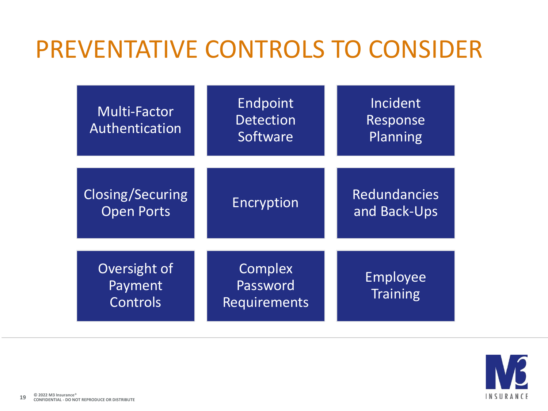### PREVENTATIVE CONTROLS TO CONSIDER

| <b>Multi-Factor</b><br>Authentication | Endpoint<br><b>Detection</b><br>Software   | Incident<br>Response<br>Planning    |
|---------------------------------------|--------------------------------------------|-------------------------------------|
| Closing/Securing<br><b>Open Ports</b> | <b>Encryption</b>                          | <b>Redundancies</b><br>and Back-Ups |
| Oversight of<br>Payment<br>Controls   | Complex<br>Password<br><b>Requirements</b> | <b>Employee</b><br><b>Training</b>  |